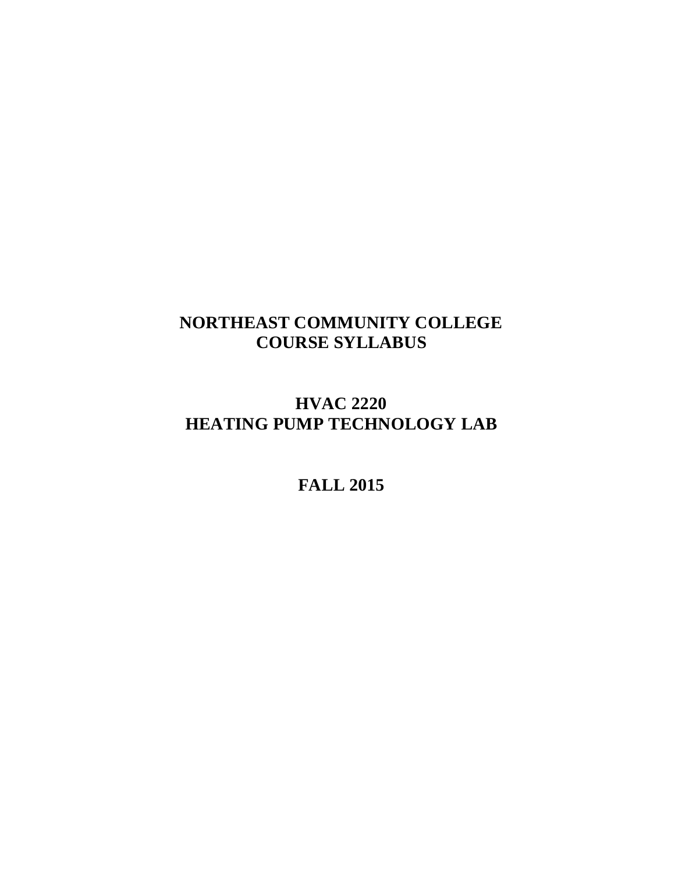# **NORTHEAST COMMUNITY COLLEGE COURSE SYLLABUS**

# **HVAC 2220 HEATING PUMP TECHNOLOGY LAB**

## **FALL 2015**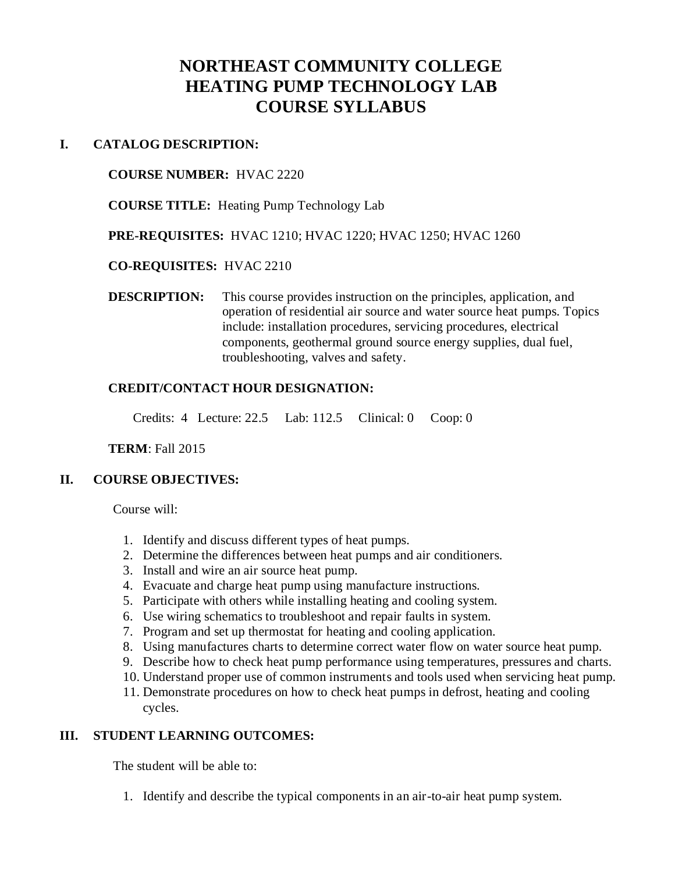## **NORTHEAST COMMUNITY COLLEGE HEATING PUMP TECHNOLOGY LAB COURSE SYLLABUS**

### **I. CATALOG DESCRIPTION:**

#### **COURSE NUMBER:** HVAC 2220

**COURSE TITLE:** Heating Pump Technology Lab

**PRE-REQUISITES:** HVAC 1210; HVAC 1220; HVAC 1250; HVAC 1260

#### **CO-REQUISITES:** HVAC 2210

**DESCRIPTION:** This course provides instruction on the principles, application, and operation of residential air source and water source heat pumps. Topics include: installation procedures, servicing procedures, electrical components, geothermal ground source energy supplies, dual fuel, troubleshooting, valves and safety.

## **CREDIT/CONTACT HOUR DESIGNATION:**

Credits: 4 Lecture: 22.5 Lab: 112.5 Clinical: 0 Coop: 0

#### **TERM**: Fall 2015

## **II. COURSE OBJECTIVES:**

Course will:

- 1. Identify and discuss different types of heat pumps.
- 2. Determine the differences between heat pumps and air conditioners.
- 3. Install and wire an air source heat pump.
- 4. Evacuate and charge heat pump using manufacture instructions.
- 5. Participate with others while installing heating and cooling system.
- 6. Use wiring schematics to troubleshoot and repair faults in system.
- 7. Program and set up thermostat for heating and cooling application.
- 8. Using manufactures charts to determine correct water flow on water source heat pump.
- 9. Describe how to check heat pump performance using temperatures, pressures and charts.
- 10. Understand proper use of common instruments and tools used when servicing heat pump.
- 11. Demonstrate procedures on how to check heat pumps in defrost, heating and cooling cycles.

## **III. STUDENT LEARNING OUTCOMES:**

The student will be able to:

1. Identify and describe the typical components in an air-to-air heat pump system.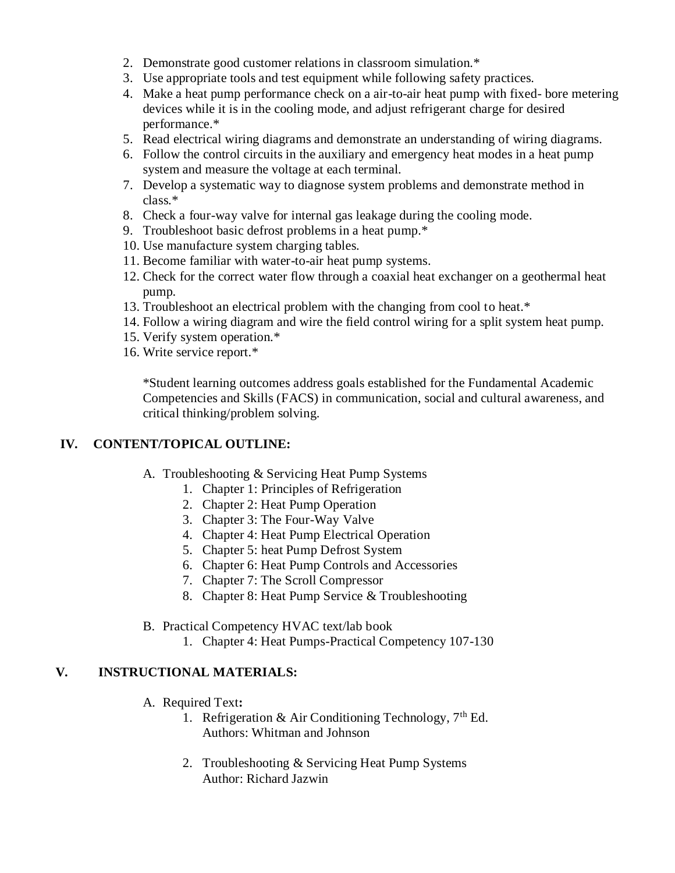- 2. Demonstrate good customer relations in classroom simulation.\*
- 3. Use appropriate tools and test equipment while following safety practices.
- 4. Make a heat pump performance check on a air-to-air heat pump with fixed- bore metering devices while it is in the cooling mode, and adjust refrigerant charge for desired performance.\*
- 5. Read electrical wiring diagrams and demonstrate an understanding of wiring diagrams.
- 6. Follow the control circuits in the auxiliary and emergency heat modes in a heat pump system and measure the voltage at each terminal.
- 7. Develop a systematic way to diagnose system problems and demonstrate method in class.\*
- 8. Check a four-way valve for internal gas leakage during the cooling mode.
- 9. Troubleshoot basic defrost problems in a heat pump.\*
- 10. Use manufacture system charging tables.
- 11. Become familiar with water-to-air heat pump systems.
- 12. Check for the correct water flow through a coaxial heat exchanger on a geothermal heat pump.
- 13. Troubleshoot an electrical problem with the changing from cool to heat.\*
- 14. Follow a wiring diagram and wire the field control wiring for a split system heat pump.
- 15. Verify system operation.\*
- 16. Write service report.\*

\*Student learning outcomes address goals established for the Fundamental Academic Competencies and Skills (FACS) in communication, social and cultural awareness, and critical thinking/problem solving.

## **IV. CONTENT/TOPICAL OUTLINE:**

- A. Troubleshooting & Servicing Heat Pump Systems
	- 1. Chapter 1: Principles of Refrigeration
	- 2. Chapter 2: Heat Pump Operation
	- 3. Chapter 3: The Four-Way Valve
	- 4. Chapter 4: Heat Pump Electrical Operation
	- 5. Chapter 5: heat Pump Defrost System
	- 6. Chapter 6: Heat Pump Controls and Accessories
	- 7. Chapter 7: The Scroll Compressor
	- 8. Chapter 8: Heat Pump Service & Troubleshooting
- B. Practical Competency HVAC text/lab book
	- 1. Chapter 4: Heat Pumps-Practical Competency 107-130

## **V. INSTRUCTIONAL MATERIALS:**

- A. Required Text**:**
	- 1. Refrigeration & Air Conditioning Technology,  $7<sup>th</sup>$  Ed. Authors: Whitman and Johnson
	- 2. Troubleshooting & Servicing Heat Pump Systems Author: Richard Jazwin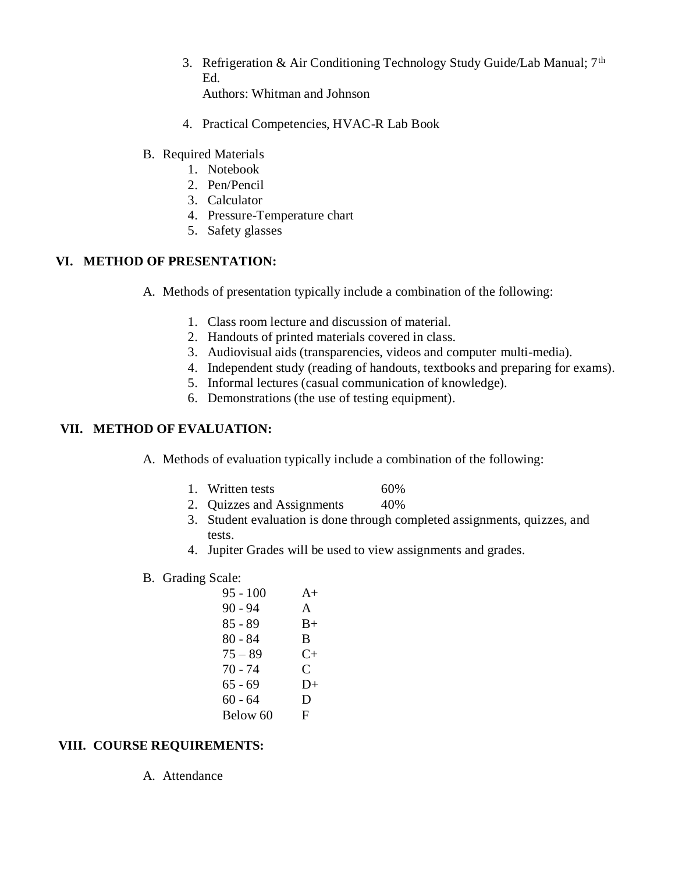3. Refrigeration & Air Conditioning Technology Study Guide/Lab Manual; 7<sup>th</sup> Ed.

Authors: Whitman and Johnson

- 4. Practical Competencies, HVAC-R Lab Book
- B. Required Materials
	- 1. Notebook
	- 2. Pen/Pencil
	- 3. Calculator
	- 4. Pressure-Temperature chart
	- 5. Safety glasses

## **VI. METHOD OF PRESENTATION:**

- A. Methods of presentation typically include a combination of the following:
	- 1. Class room lecture and discussion of material.
	- 2. Handouts of printed materials covered in class.
	- 3. Audiovisual aids (transparencies, videos and computer multi-media).
	- 4. Independent study (reading of handouts, textbooks and preparing for exams).
	- 5. Informal lectures (casual communication of knowledge).
	- 6. Demonstrations (the use of testing equipment).

#### **VII. METHOD OF EVALUATION:**

- A. Methods of evaluation typically include a combination of the following:
	- 1. Written tests 60%
	- 2. Quizzes and Assignments 40%
	- 3. Student evaluation is done through completed assignments, quizzes, and tests.
	- 4. Jupiter Grades will be used to view assignments and grades.
- B. Grading Scale:

| $95 - 100$ | $A+$      |
|------------|-----------|
| $90 - 94$  | A         |
| $85 - 89$  | $B+$      |
| 80 - 84    | B         |
| $75 - 89$  | $C_{\pm}$ |
| $70 - 74$  | C         |
| 65 - 69    | $D+$      |
| 60 - 64    | D         |
| Below 60   | F         |
|            |           |

## **VIII. COURSE REQUIREMENTS:**

A. Attendance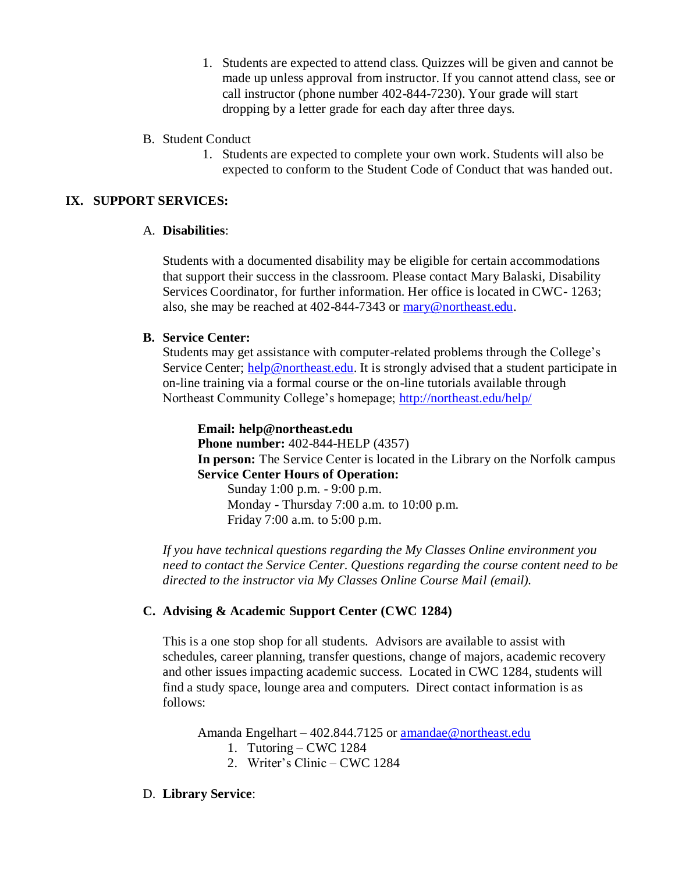- 1. Students are expected to attend class. Quizzes will be given and cannot be made up unless approval from instructor. If you cannot attend class, see or call instructor (phone number 402-844-7230). Your grade will start dropping by a letter grade for each day after three days.
- B. Student Conduct
	- 1. Students are expected to complete your own work. Students will also be expected to conform to the Student Code of Conduct that was handed out.

### **IX. SUPPORT SERVICES:**

#### A. **Disabilities**:

Students with a documented disability may be eligible for certain accommodations that support their success in the classroom. Please contact Mary Balaski, Disability Services Coordinator, for further information. Her office is located in CWC- 1263; also, she may be reached at 402-844-7343 or [mary@northeast.edu.](mailto:mary@northeast.edu)

#### **B. Service Center:**

Students may get assistance with computer-related problems through the College's Service Center; [help@northeast.edu.](mailto:help@northeast.edu) It is strongly advised that a student participate in on-line training via a formal course or the on-line tutorials available through Northeast Community College's homepage;<http://northeast.edu/help/>

**Email: help@northeast.edu Phone number:** 402-844-HELP (4357) **In person:** The Service Center is located in the Library on the Norfolk campus **Service Center Hours of Operation:** Sunday 1:00 p.m. - 9:00 p.m.

Monday - Thursday 7:00 a.m. to 10:00 p.m. Friday 7:00 a.m. to 5:00 p.m.

*If you have technical questions regarding the My Classes Online environment you need to contact the Service Center. Questions regarding the course content need to be directed to the instructor via My Classes Online Course Mail (email).*

#### **C. Advising & Academic Support Center (CWC 1284)**

This is a one stop shop for all students. Advisors are available to assist with schedules, career planning, transfer questions, change of majors, academic recovery and other issues impacting academic success. Located in CWC 1284, students will find a study space, lounge area and computers. Direct contact information is as follows:

Amanda Engelhart – 402.844.7125 or [amandae@northeast.edu](mailto:amandae@northeast.edu)

- 1. Tutoring CWC 1284
- 2. Writer's Clinic CWC 1284

#### D. **Library Service**: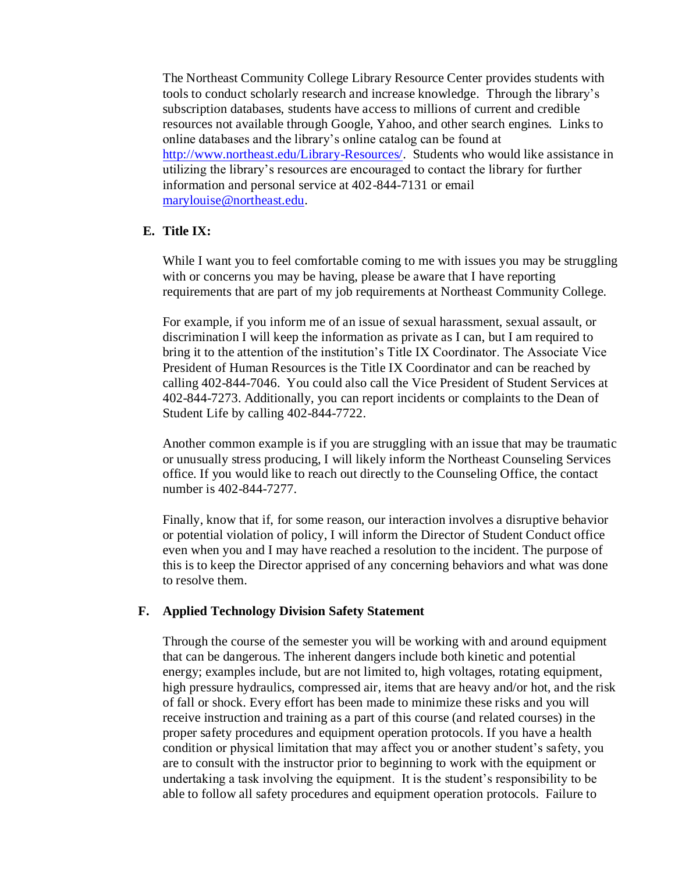The Northeast Community College Library Resource Center provides students with tools to conduct scholarly research and increase knowledge. Through the library's subscription databases, students have access to millions of current and credible resources not available through Google, Yahoo, and other search engines. Links to online databases and the library's online catalog can be found at [http://www.northeast.edu/Library-Resources/.](http://northeast.edu/LS/index/php) Students who would like assistance in utilizing the library's resources are encouraged to contact the library for further information and personal service at 402-844-7131 or email [marylouise@northeast.edu.](mailto:marylouise@northeast.edu)

#### **E. Title IX:**

While I want you to feel comfortable coming to me with issues you may be struggling with or concerns you may be having, please be aware that I have reporting requirements that are part of my job requirements at Northeast Community College.

For example, if you inform me of an issue of sexual harassment, sexual assault, or discrimination I will keep the information as private as I can, but I am required to bring it to the attention of the institution's Title IX Coordinator. The Associate Vice President of Human Resources is the Title IX Coordinator and can be reached by calling 402-844-7046. You could also call the Vice President of Student Services at 402-844-7273. Additionally, you can report incidents or complaints to the Dean of Student Life by calling 402-844-7722.

Another common example is if you are struggling with an issue that may be traumatic or unusually stress producing, I will likely inform the Northeast Counseling Services office. If you would like to reach out directly to the Counseling Office, the contact number is 402-844-7277.

Finally, know that if, for some reason, our interaction involves a disruptive behavior or potential violation of policy, I will inform the Director of Student Conduct office even when you and I may have reached a resolution to the incident. The purpose of this is to keep the Director apprised of any concerning behaviors and what was done to resolve them.

#### **F. Applied Technology Division Safety Statement**

Through the course of the semester you will be working with and around equipment that can be dangerous. The inherent dangers include both kinetic and potential energy; examples include, but are not limited to, high voltages, rotating equipment, high pressure hydraulics, compressed air, items that are heavy and/or hot, and the risk of fall or shock. Every effort has been made to minimize these risks and you will receive instruction and training as a part of this course (and related courses) in the proper safety procedures and equipment operation protocols. If you have a health condition or physical limitation that may affect you or another student's safety, you are to consult with the instructor prior to beginning to work with the equipment or undertaking a task involving the equipment. It is the student's responsibility to be able to follow all safety procedures and equipment operation protocols. Failure to